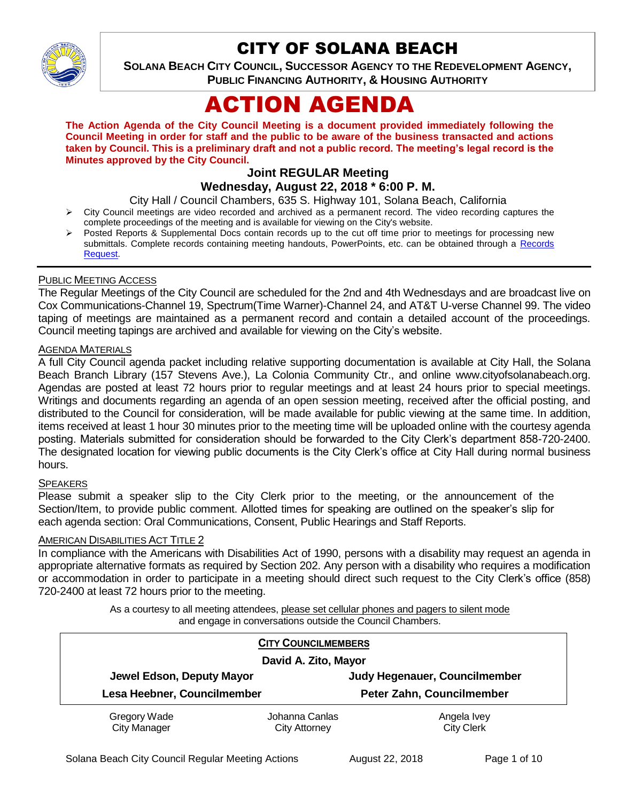

## CITY OF SOLANA BEACH

**SOLANA BEACH CITY COUNCIL, SUCCESSOR AGENCY TO THE REDEVELOPMENT AGENCY, PUBLIC FINANCING AUTHORITY, & HOUSING AUTHORITY** 

# ACTION AGENDA

**The Action Agenda of the City Council Meeting is a document provided immediately following the Council Meeting in order for staff and the public to be aware of the business transacted and actions taken by Council. This is a preliminary draft and not a public record. The meeting's legal record is the Minutes approved by the City Council.**

## **Joint REGULAR Meeting**

## **Wednesday, August 22, 2018 \* 6:00 P. M.**

City Hall / Council Chambers, 635 S. Highway 101, Solana Beach, California

- City Council meetings are video recorded and archived as a permanent record. The video recording captures the complete proceedings of the meeting and is available for viewing on the City's website.
- Posted Reports & Supplemental Docs contain records up to the cut off time prior to meetings for processing new submittals. Complete records containing meeting handouts, PowerPoints, etc. can be obtained through a Records [Request.](http://www.ci.solana-beach.ca.us/index.asp?SEC=F5D45D10-70CE-4291-A27C-7BD633FC6742&Type=B_BASIC)

#### PUBLIC MEETING ACCESS

The Regular Meetings of the City Council are scheduled for the 2nd and 4th Wednesdays and are broadcast live on Cox Communications-Channel 19, Spectrum(Time Warner)-Channel 24, and AT&T U-verse Channel 99. The video taping of meetings are maintained as a permanent record and contain a detailed account of the proceedings. Council meeting tapings are archived and available for viewing on the City's website.

#### AGENDA MATERIALS

A full City Council agenda packet including relative supporting documentation is available at City Hall, the Solana Beach Branch Library (157 Stevens Ave.), La Colonia Community Ctr., and online www.cityofsolanabeach.org. Agendas are posted at least 72 hours prior to regular meetings and at least 24 hours prior to special meetings. Writings and documents regarding an agenda of an open session meeting, received after the official posting, and distributed to the Council for consideration, will be made available for public viewing at the same time. In addition, items received at least 1 hour 30 minutes prior to the meeting time will be uploaded online with the courtesy agenda posting. Materials submitted for consideration should be forwarded to the City Clerk's department 858-720-2400. The designated location for viewing public documents is the City Clerk's office at City Hall during normal business hours.

#### **SPEAKERS**

Please submit a speaker slip to the City Clerk prior to the meeting, or the announcement of the Section/Item, to provide public comment. Allotted times for speaking are outlined on the speaker's slip for each agenda section: Oral Communications, Consent, Public Hearings and Staff Reports.

#### AMERICAN DISABILITIES ACT TITLE 2

In compliance with the Americans with Disabilities Act of 1990, persons with a disability may request an agenda in appropriate alternative formats as required by Section 202. Any person with a disability who requires a modification or accommodation in order to participate in a meeting should direct such request to the City Clerk's office (858) 720-2400 at least 72 hours prior to the meeting.

> As a courtesy to all meeting attendees, please set cellular phones and pagers to silent mode and engage in conversations outside the Council Chambers.

| <b>CITY COUNCILMEMBERS</b>          |                                        |                                  |
|-------------------------------------|----------------------------------------|----------------------------------|
| David A. Zito, Mayor                |                                        |                                  |
| Jewel Edson, Deputy Mayor           |                                        | Judy Hegenauer, Councilmember    |
| Lesa Heebner, Councilmember         |                                        | Peter Zahn, Councilmember        |
| Gregory Wade<br><b>City Manager</b> | Johanna Canlas<br><b>City Attorney</b> | Angela Ivey<br><b>City Clerk</b> |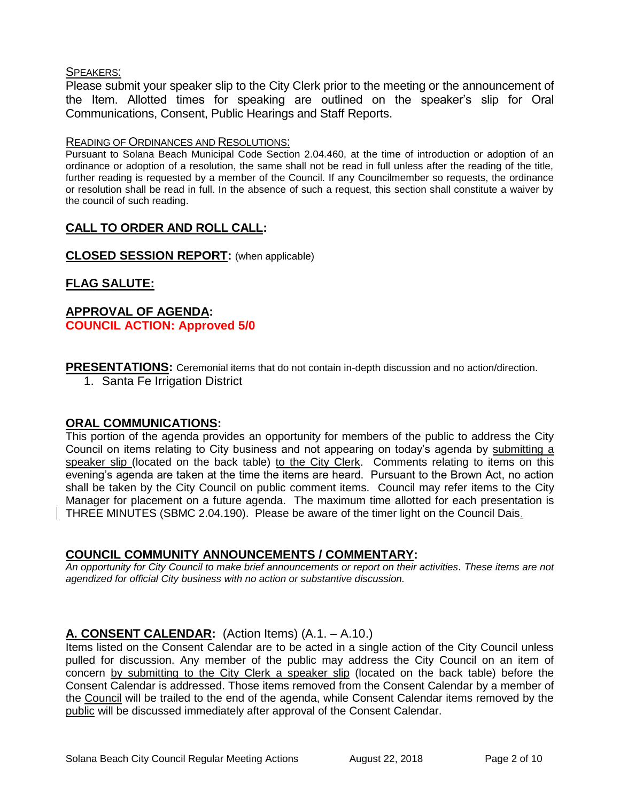#### SPEAKERS:

Please submit your speaker slip to the City Clerk prior to the meeting or the announcement of the Item. Allotted times for speaking are outlined on the speaker's slip for Oral Communications, Consent, Public Hearings and Staff Reports.

#### READING OF ORDINANCES AND RESOLUTIONS:

Pursuant to Solana Beach Municipal Code Section 2.04.460, at the time of introduction or adoption of an ordinance or adoption of a resolution, the same shall not be read in full unless after the reading of the title, further reading is requested by a member of the Council. If any Councilmember so requests, the ordinance or resolution shall be read in full. In the absence of such a request, this section shall constitute a waiver by the council of such reading.

## **CALL TO ORDER AND ROLL CALL:**

**CLOSED SESSION REPORT:** (when applicable)

## **FLAG SALUTE:**

## **APPROVAL OF AGENDA: COUNCIL ACTION: Approved 5/0**

**PRESENTATIONS:** Ceremonial items that do not contain in-depth discussion and no action/direction.

1. Santa Fe Irrigation District

#### **ORAL COMMUNICATIONS:**

This portion of the agenda provides an opportunity for members of the public to address the City Council on items relating to City business and not appearing on today's agenda by submitting a speaker slip (located on the back table) to the City Clerk. Comments relating to items on this evening's agenda are taken at the time the items are heard. Pursuant to the Brown Act, no action shall be taken by the City Council on public comment items. Council may refer items to the City Manager for placement on a future agenda. The maximum time allotted for each presentation is THREE MINUTES (SBMC 2.04.190). Please be aware of the timer light on the Council Dais.

## **COUNCIL COMMUNITY ANNOUNCEMENTS / COMMENTARY:**

*An opportunity for City Council to make brief announcements or report on their activities. These items are not agendized for official City business with no action or substantive discussion.* 

#### **A. CONSENT CALENDAR:** (Action Items) (A.1. – A.10.)

Items listed on the Consent Calendar are to be acted in a single action of the City Council unless pulled for discussion. Any member of the public may address the City Council on an item of concern by submitting to the City Clerk a speaker slip (located on the back table) before the Consent Calendar is addressed. Those items removed from the Consent Calendar by a member of the Council will be trailed to the end of the agenda, while Consent Calendar items removed by the public will be discussed immediately after approval of the Consent Calendar.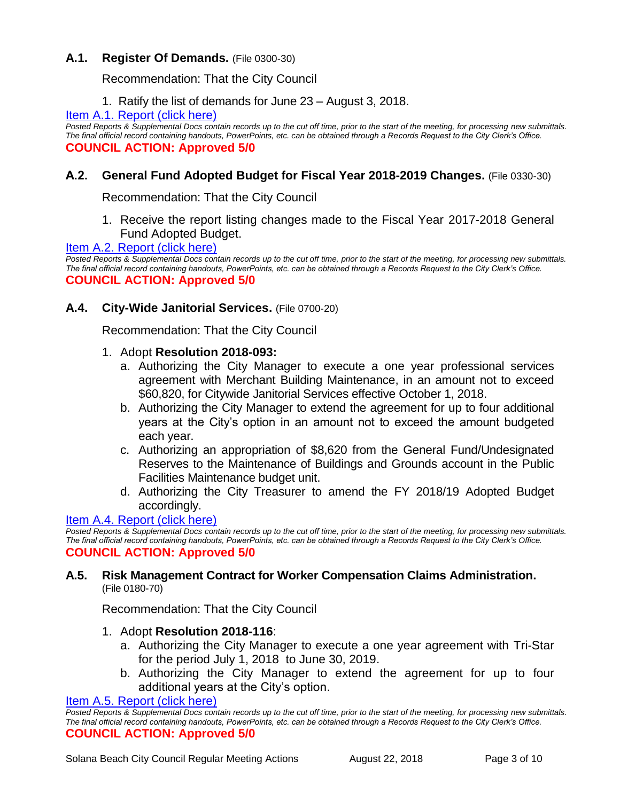## **A.1. Register Of Demands.** (File 0300-30)

Recommendation: That the City Council

1. Ratify the list of demands for June 23 – August 3, 2018.

#### [Item A.1. Report \(click here\)](https://solanabeach.govoffice3.com/vertical/Sites/%7B840804C2-F869-4904-9AE3-720581350CE7%7D/uploads/Item_A.1._Report_(click_here)_-_08-22-18.PDF)

*Posted Reports & Supplemental Docs contain records up to the cut off time, prior to the start of the meeting, for processing new submittals. The final official record containing handouts, PowerPoints, etc. can be obtained through a Records Request to the City Clerk's Office.* **COUNCIL ACTION: Approved 5/0**

## **A.2. General Fund Adopted Budget for Fiscal Year 2018-2019 Changes.** (File 0330-30)

Recommendation: That the City Council

1. Receive the report listing changes made to the Fiscal Year 2017-2018 General Fund Adopted Budget.

#### [Item A.2. Report \(click here\)](https://solanabeach.govoffice3.com/vertical/Sites/%7B840804C2-F869-4904-9AE3-720581350CE7%7D/uploads/Item_A.2._Report_(click_here)_-_08-22-18.PDF)

*Posted Reports & Supplemental Docs contain records up to the cut off time, prior to the start of the meeting, for processing new submittals. The final official record containing handouts, PowerPoints, etc. can be obtained through a Records Request to the City Clerk's Office.* **COUNCIL ACTION: Approved 5/0**

#### **A.4. City-Wide Janitorial Services.** (File 0700-20)

Recommendation: That the City Council

#### 1. Adopt **Resolution 2018-093:**

- a. Authorizing the City Manager to execute a one year professional services agreement with Merchant Building Maintenance, in an amount not to exceed \$60,820, for Citywide Janitorial Services effective October 1, 2018.
- b. Authorizing the City Manager to extend the agreement for up to four additional years at the City's option in an amount not to exceed the amount budgeted each year.
- c. Authorizing an appropriation of \$8,620 from the General Fund/Undesignated Reserves to the Maintenance of Buildings and Grounds account in the Public Facilities Maintenance budget unit.
- d. Authorizing the City Treasurer to amend the FY 2018/19 Adopted Budget accordingly.

#### [Item A.4. Report \(click here\)](https://solanabeach.govoffice3.com/vertical/Sites/%7B840804C2-F869-4904-9AE3-720581350CE7%7D/uploads/Item_A.4._Report_(click_here)_-_08-22-18.PDF)

*Posted Reports & Supplemental Docs contain records up to the cut off time, prior to the start of the meeting, for processing new submittals. The final official record containing handouts, PowerPoints, etc. can be obtained through a Records Request to the City Clerk's Office.* **COUNCIL ACTION: Approved 5/0**

#### **A.5. Risk Management Contract for Worker Compensation Claims Administration.** (File 0180-70)

Recommendation: That the City Council

- 1. Adopt **Resolution 2018-116**:
	- a. Authorizing the City Manager to execute a one year agreement with Tri-Star for the period July 1, 2018 to June 30, 2019.
	- b. Authorizing the City Manager to extend the agreement for up to four additional years at the City's option.

[Item A.5. Report \(click here\)](https://solanabeach.govoffice3.com/vertical/Sites/%7B840804C2-F869-4904-9AE3-720581350CE7%7D/uploads/Item_A.5._Report_(click_here)_-_08-22-18.PDF)

*Posted Reports & Supplemental Docs contain records up to the cut off time, prior to the start of the meeting, for processing new submittals. The final official record containing handouts, PowerPoints, etc. can be obtained through a Records Request to the City Clerk's Office.* **COUNCIL ACTION: Approved 5/0**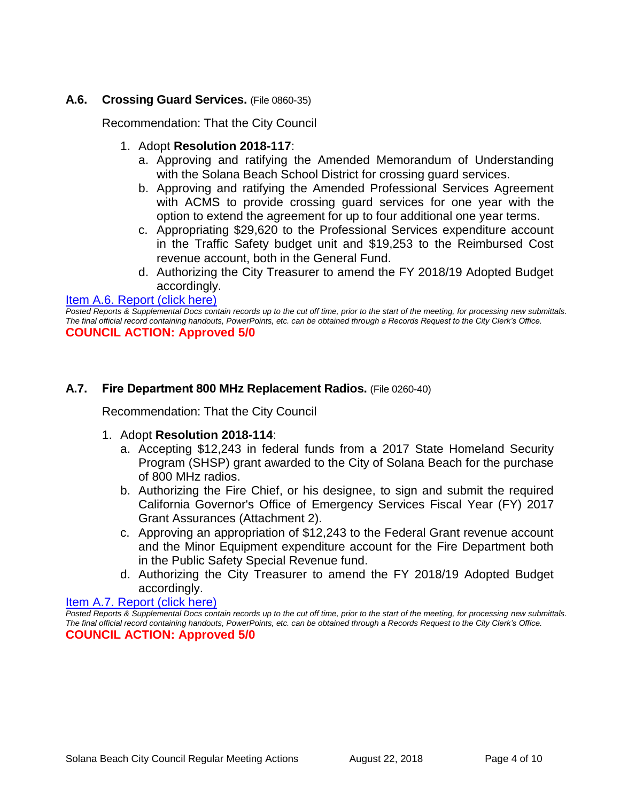## **A.6. Crossing Guard Services.** (File 0860-35)

Recommendation: That the City Council

- 1. Adopt **Resolution 2018-117**:
	- a. Approving and ratifying the Amended Memorandum of Understanding with the Solana Beach School District for crossing guard services.
	- b. Approving and ratifying the Amended Professional Services Agreement with ACMS to provide crossing guard services for one year with the option to extend the agreement for up to four additional one year terms.
	- c. Appropriating \$29,620 to the Professional Services expenditure account in the Traffic Safety budget unit and \$19,253 to the Reimbursed Cost revenue account, both in the General Fund.
	- d. Authorizing the City Treasurer to amend the FY 2018/19 Adopted Budget accordingly.

#### [Item A.6. Report \(click here\)](https://solanabeach.govoffice3.com/vertical/Sites/%7B840804C2-F869-4904-9AE3-720581350CE7%7D/uploads/Item_A.6._Report_(click_here)_-_08-22-18.PDF)

*Posted Reports & Supplemental Docs contain records up to the cut off time, prior to the start of the meeting, for processing new submittals. The final official record containing handouts, PowerPoints, etc. can be obtained through a Records Request to the City Clerk's Office.* **COUNCIL ACTION: Approved 5/0**

#### **A.7. Fire Department 800 MHz Replacement Radios.** (File 0260-40)

Recommendation: That the City Council

- 1. Adopt **Resolution 2018-114**:
	- a. Accepting \$12,243 in federal funds from a 2017 State Homeland Security Program (SHSP) grant awarded to the City of Solana Beach for the purchase of 800 MHz radios.
	- b. Authorizing the Fire Chief, or his designee, to sign and submit the required California Governor's Office of Emergency Services Fiscal Year (FY) 2017 Grant Assurances (Attachment 2).
	- c. Approving an appropriation of \$12,243 to the Federal Grant revenue account and the Minor Equipment expenditure account for the Fire Department both in the Public Safety Special Revenue fund.
	- d. Authorizing the City Treasurer to amend the FY 2018/19 Adopted Budget accordingly.

#### [Item A.7. Report \(click here\)](https://solanabeach.govoffice3.com/vertical/Sites/%7B840804C2-F869-4904-9AE3-720581350CE7%7D/uploads/Item_A.7._Report_(click_here)_-_08-22-18.PDF)

*Posted Reports & Supplemental Docs contain records up to the cut off time, prior to the start of the meeting, for processing new submittals. The final official record containing handouts, PowerPoints, etc. can be obtained through a Records Request to the City Clerk's Office.* **COUNCIL ACTION: Approved 5/0**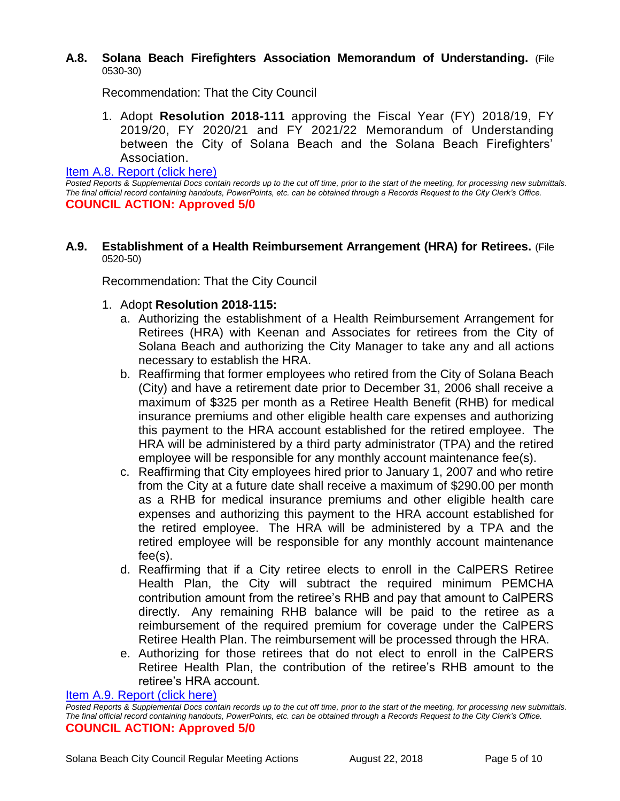#### **A.8. Solana Beach Firefighters Association Memorandum of Understanding.** (File 0530-30)

Recommendation: That the City Council

1. Adopt **Resolution 2018-111** approving the Fiscal Year (FY) 2018/19, FY 2019/20, FY 2020/21 and FY 2021/22 Memorandum of Understanding between the City of Solana Beach and the Solana Beach Firefighters' Association.

#### [Item A.8. Report \(click here\)](https://solanabeach.govoffice3.com/vertical/Sites/%7B840804C2-F869-4904-9AE3-720581350CE7%7D/uploads/Item_A.8._Report_(click_here)_-_08-22-18.PDF)

*Posted Reports & Supplemental Docs contain records up to the cut off time, prior to the start of the meeting, for processing new submittals. The final official record containing handouts, PowerPoints, etc. can be obtained through a Records Request to the City Clerk's Office.* **COUNCIL ACTION: Approved 5/0**

#### **A.9. Establishment of a Health Reimbursement Arrangement (HRA) for Retirees.** (File 0520-50)

Recommendation: That the City Council

- 1. Adopt **Resolution 2018-115:**
	- a. Authorizing the establishment of a Health Reimbursement Arrangement for Retirees (HRA) with Keenan and Associates for retirees from the City of Solana Beach and authorizing the City Manager to take any and all actions necessary to establish the HRA.
	- b. Reaffirming that former employees who retired from the City of Solana Beach (City) and have a retirement date prior to December 31, 2006 shall receive a maximum of \$325 per month as a Retiree Health Benefit (RHB) for medical insurance premiums and other eligible health care expenses and authorizing this payment to the HRA account established for the retired employee. The HRA will be administered by a third party administrator (TPA) and the retired employee will be responsible for any monthly account maintenance fee(s).
	- c. Reaffirming that City employees hired prior to January 1, 2007 and who retire from the City at a future date shall receive a maximum of \$290.00 per month as a RHB for medical insurance premiums and other eligible health care expenses and authorizing this payment to the HRA account established for the retired employee. The HRA will be administered by a TPA and the retired employee will be responsible for any monthly account maintenance fee(s).
	- d. Reaffirming that if a City retiree elects to enroll in the CalPERS Retiree Health Plan, the City will subtract the required minimum PEMCHA contribution amount from the retiree's RHB and pay that amount to CalPERS directly. Any remaining RHB balance will be paid to the retiree as a reimbursement of the required premium for coverage under the CalPERS Retiree Health Plan. The reimbursement will be processed through the HRA.
	- e. Authorizing for those retirees that do not elect to enroll in the CalPERS Retiree Health Plan, the contribution of the retiree's RHB amount to the retiree's HRA account.

[Item A.9. Report \(click here\)](https://solanabeach.govoffice3.com/vertical/Sites/%7B840804C2-F869-4904-9AE3-720581350CE7%7D/uploads/Item_A.9._Report_(click_here)_-_08-22-18.PDF)

*Posted Reports & Supplemental Docs contain records up to the cut off time, prior to the start of the meeting, for processing new submittals. The final official record containing handouts, PowerPoints, etc. can be obtained through a Records Request to the City Clerk's Office.* **COUNCIL ACTION: Approved 5/0**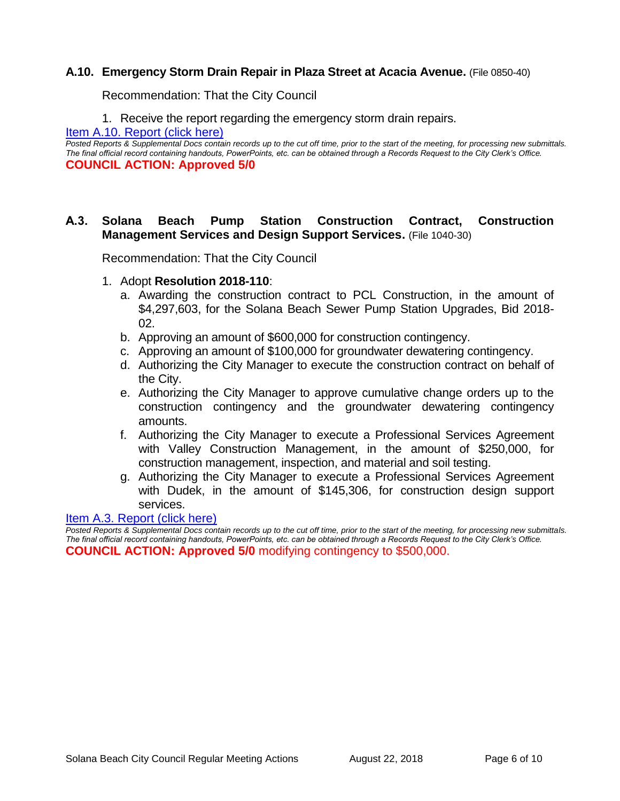#### **A.10. Emergency Storm Drain Repair in Plaza Street at Acacia Avenue.** (File 0850-40)

Recommendation: That the City Council

1. Receive the report regarding the emergency storm drain repairs.

[Item A.10. Report \(click here\)](https://solanabeach.govoffice3.com/vertical/Sites/%7B840804C2-F869-4904-9AE3-720581350CE7%7D/uploads/Item_A.10._Report_(click_here)_-_08-22-18.PDF)

*Posted Reports & Supplemental Docs contain records up to the cut off time, prior to the start of the meeting, for processing new submittals. The final official record containing handouts, PowerPoints, etc. can be obtained through a Records Request to the City Clerk's Office.* **COUNCIL ACTION: Approved 5/0**

#### **A.3. Solana Beach Pump Station Construction Contract, Construction Management Services and Design Support Services.** (File 1040-30)

Recommendation: That the City Council

- 1. Adopt **Resolution 2018-110**:
	- a. Awarding the construction contract to PCL Construction, in the amount of \$4,297,603, for the Solana Beach Sewer Pump Station Upgrades, Bid 2018- 02.
	- b. Approving an amount of \$600,000 for construction contingency.
	- c. Approving an amount of \$100,000 for groundwater dewatering contingency.
	- d. Authorizing the City Manager to execute the construction contract on behalf of the City.
	- e. Authorizing the City Manager to approve cumulative change orders up to the construction contingency and the groundwater dewatering contingency amounts.
	- f. Authorizing the City Manager to execute a Professional Services Agreement with Valley Construction Management, in the amount of \$250,000, for construction management, inspection, and material and soil testing.
	- g. Authorizing the City Manager to execute a Professional Services Agreement with Dudek, in the amount of \$145,306, for construction design support services.

#### [Item A.3. Report \(click here\)](https://solanabeach.govoffice3.com/vertical/Sites/%7B840804C2-F869-4904-9AE3-720581350CE7%7D/uploads/Item_A.3._Report_(click_here)_-_08-22-18.PDF)

*Posted Reports & Supplemental Docs contain records up to the cut off time, prior to the start of the meeting, for processing new submittals. The final official record containing handouts, PowerPoints, etc. can be obtained through a Records Request to the City Clerk's Office.* **COUNCIL ACTION: Approved 5/0** modifying contingency to \$500,000.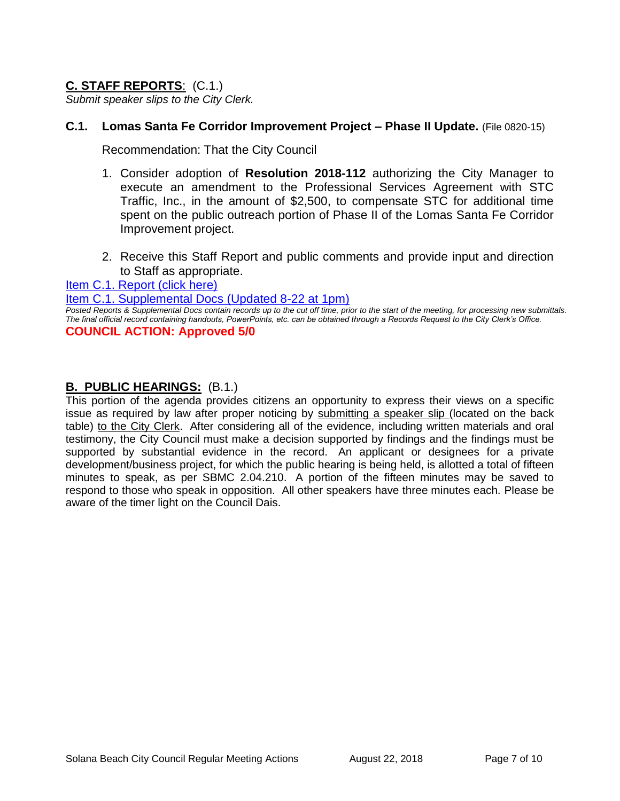## **C. STAFF REPORTS**: (C.1.)

*Submit speaker slips to the City Clerk.*

#### **C.1. Lomas Santa Fe Corridor Improvement Project – Phase II Update.** (File 0820-15)

Recommendation: That the City Council

- 1. Consider adoption of **Resolution 2018-112** authorizing the City Manager to execute an amendment to the Professional Services Agreement with STC Traffic, Inc., in the amount of \$2,500, to compensate STC for additional time spent on the public outreach portion of Phase II of the Lomas Santa Fe Corridor Improvement project.
- 2. Receive this Staff Report and public comments and provide input and direction to Staff as appropriate.

[Item C.1. Report \(click here\)](https://solanabeach.govoffice3.com/vertical/Sites/%7B840804C2-F869-4904-9AE3-720581350CE7%7D/uploads/Item_C.1._Report_(click_here)_-_08-22-18.PDF)

[Item C.1. Supplemental Docs \(Updated 8-22](https://solanabeach.govoffice3.com/vertical/Sites/%7B840804C2-F869-4904-9AE3-720581350CE7%7D/uploads/C.1._Supplemental_Docs_(updated_8-22_at_1pm).pdf) at 1pm)

*Posted Reports & Supplemental Docs contain records up to the cut off time, prior to the start of the meeting, for processing new submittals. The final official record containing handouts, PowerPoints, etc. can be obtained through a Records Request to the City Clerk's Office.* **COUNCIL ACTION: Approved 5/0** 

#### **B. PUBLIC HEARINGS:** (B.1.)

This portion of the agenda provides citizens an opportunity to express their views on a specific issue as required by law after proper noticing by submitting a speaker slip (located on the back table) to the City Clerk. After considering all of the evidence, including written materials and oral testimony, the City Council must make a decision supported by findings and the findings must be supported by substantial evidence in the record. An applicant or designees for a private development/business project, for which the public hearing is being held, is allotted a total of fifteen minutes to speak, as per SBMC 2.04.210. A portion of the fifteen minutes may be saved to respond to those who speak in opposition. All other speakers have three minutes each. Please be aware of the timer light on the Council Dais.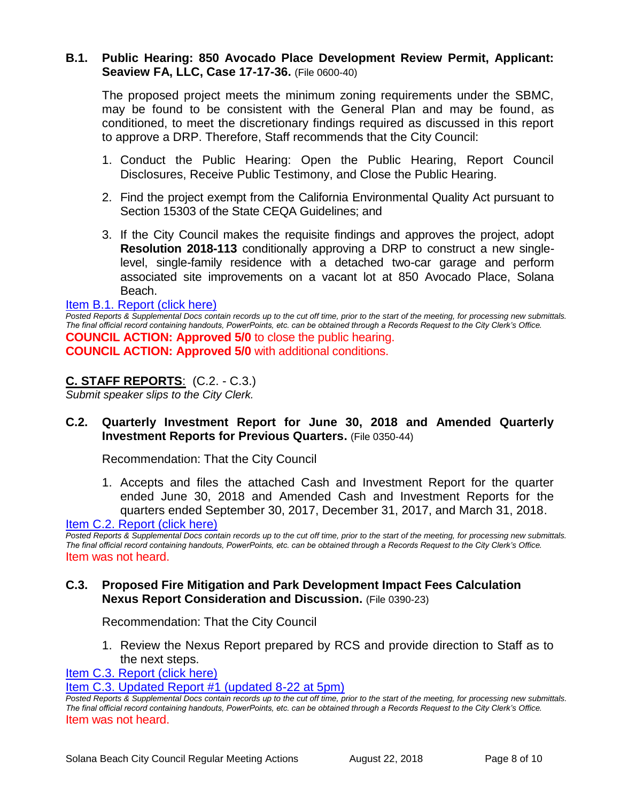#### **B.1. Public Hearing: 850 Avocado Place Development Review Permit, Applicant: Seaview FA, LLC, Case 17-17-36.** (File 0600-40)

The proposed project meets the minimum zoning requirements under the SBMC, may be found to be consistent with the General Plan and may be found, as conditioned, to meet the discretionary findings required as discussed in this report to approve a DRP. Therefore, Staff recommends that the City Council:

- 1. Conduct the Public Hearing: Open the Public Hearing, Report Council Disclosures, Receive Public Testimony, and Close the Public Hearing.
- 2. Find the project exempt from the California Environmental Quality Act pursuant to Section 15303 of the State CEQA Guidelines; and
- 3. If the City Council makes the requisite findings and approves the project, adopt **Resolution 2018-113** conditionally approving a DRP to construct a new singlelevel, single-family residence with a detached two-car garage and perform associated site improvements on a vacant lot at 850 Avocado Place, Solana Beach.

#### [Item B.1. Report \(click here\)](https://solanabeach.govoffice3.com/vertical/Sites/%7B840804C2-F869-4904-9AE3-720581350CE7%7D/uploads/Item_B.1._Report_(click_here)_-_08-22-18.PDF)

*Posted Reports & Supplemental Docs contain records up to the cut off time, prior to the start of the meeting, for processing new submittals. The final official record containing handouts, PowerPoints, etc. can be obtained through a Records Request to the City Clerk's Office.* **COUNCIL ACTION: Approved 5/0** to close the public hearing. **COUNCIL ACTION: Approved 5/0** with additional conditions.

#### **C. STAFF REPORTS**: (C.2. - C.3.)

*Submit speaker slips to the City Clerk.*

#### **C.2. Quarterly Investment Report for June 30, 2018 and Amended Quarterly Investment Reports for Previous Quarters.** (File 0350-44)

Recommendation: That the City Council

1. Accepts and files the attached Cash and Investment Report for the quarter ended June 30, 2018 and Amended Cash and Investment Reports for the quarters ended September 30, 2017, December 31, 2017, and March 31, 2018.

[Item C.2. Report \(click here\)](https://solanabeach.govoffice3.com/vertical/Sites/%7B840804C2-F869-4904-9AE3-720581350CE7%7D/uploads/Item_C.2._Report_(click_here)_-_08-22-18.PDF)

*Posted Reports & Supplemental Docs contain records up to the cut off time, prior to the start of the meeting, for processing new submittals. The final official record containing handouts, PowerPoints, etc. can be obtained through a Records Request to the City Clerk's Office.* Item was not heard.

#### **C.3. Proposed Fire Mitigation and Park Development Impact Fees Calculation Nexus Report Consideration and Discussion.** (File 0390-23)

Recommendation: That the City Council

1. Review the Nexus Report prepared by RCS and provide direction to Staff as to the next steps.

[Item C.3. Report \(click here\)](https://solanabeach.govoffice3.com/vertical/Sites/%7B840804C2-F869-4904-9AE3-720581350CE7%7D/uploads/Item_C.3._Report_(click_here)_-_08-22-18.PDF)

[Item C.3. Updated Report #1 \(updated 8-22 at 5pm\)](https://solanabeach.govoffice3.com/vertical/Sites/%7B840804C2-F869-4904-9AE3-720581350CE7%7D/uploads/C.3._Updated_Report_1_-_8-22-18.pdf)

*Posted Reports & Supplemental Docs contain records up to the cut off time, prior to the start of the meeting, for processing new submittals. The final official record containing handouts, PowerPoints, etc. can be obtained through a Records Request to the City Clerk's Office.* Item was not heard.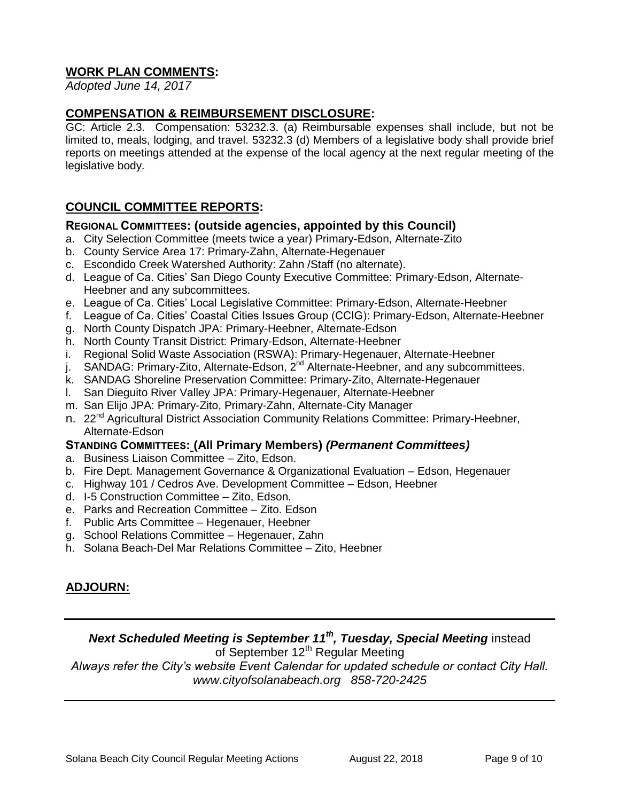## **WORK PLAN COMMENTS:**

*Adopted June 14, 2017*

## **COMPENSATION & REIMBURSEMENT DISCLOSURE:**

GC: Article 2.3. Compensation: 53232.3. (a) Reimbursable expenses shall include, but not be limited to, meals, lodging, and travel. 53232.3 (d) Members of a legislative body shall provide brief reports on meetings attended at the expense of the local agency at the next regular meeting of the legislative body.

## **COUNCIL COMMITTEE REPORTS:**

#### **REGIONAL COMMITTEES: (outside agencies, appointed by this Council)**

- a. City Selection Committee (meets twice a year) Primary-Edson, Alternate-Zito
- b. County Service Area 17: Primary-Zahn, Alternate-Hegenauer
- c. Escondido Creek Watershed Authority: Zahn /Staff (no alternate).
- d. League of Ca. Cities' San Diego County Executive Committee: Primary-Edson, Alternate-Heebner and any subcommittees.
- e. League of Ca. Cities' Local Legislative Committee: Primary-Edson, Alternate-Heebner
- f. League of Ca. Cities' Coastal Cities Issues Group (CCIG): Primary-Edson, Alternate-Heebner
- g. North County Dispatch JPA: Primary-Heebner, Alternate-Edson
- h. North County Transit District: Primary-Edson, Alternate-Heebner
- i. Regional Solid Waste Association (RSWA): Primary-Hegenauer, Alternate-Heebner
- j. SANDAG: Primary-Zito, Alternate-Edson, 2<sup>nd</sup> Alternate-Heebner, and any subcommittees.
- k. SANDAG Shoreline Preservation Committee: Primary-Zito, Alternate-Hegenauer
- l. San Dieguito River Valley JPA: Primary-Hegenauer, Alternate-Heebner
- m. San Elijo JPA: Primary-Zito, Primary-Zahn, Alternate-City Manager
- n. 22<sup>nd</sup> Agricultural District Association Community Relations Committee: Primary-Heebner, Alternate-Edson

#### **STANDING COMMITTEES: (All Primary Members)** *(Permanent Committees)*

- a. Business Liaison Committee Zito, Edson.
- b. Fire Dept. Management Governance & Organizational Evaluation Edson, Hegenauer
- c. Highway 101 / Cedros Ave. Development Committee Edson, Heebner
- d. I-5 Construction Committee Zito, Edson.
- e. Parks and Recreation Committee Zito. Edson
- f. Public Arts Committee Hegenauer, Heebner
- g. School Relations Committee Hegenauer, Zahn
- h. Solana Beach-Del Mar Relations Committee Zito, Heebner

## **ADJOURN:**

## *Next Scheduled Meeting is September 11th, Tuesday, Special Meeting* instead

of September 12<sup>th</sup> Regular Meeting

*Always refer the City's website Event Calendar for updated schedule or contact City Hall. www.cityofsolanabeach.org 858-720-2425*